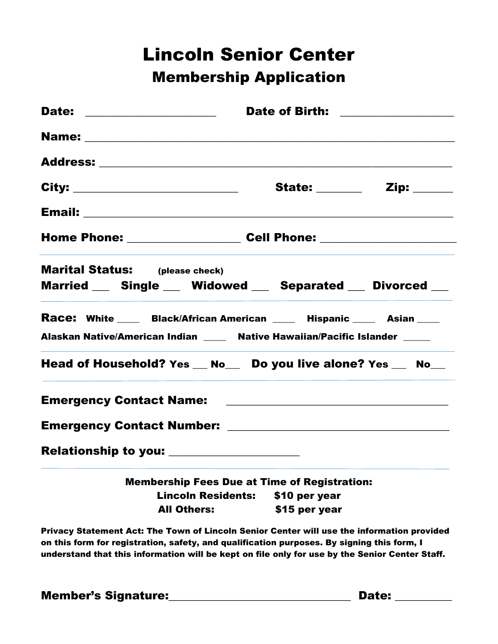## Lincoln Senior Center Membership Application

| Date: ___________________                                                                                                                             | Date of Birth: ________________ |  |  |
|-------------------------------------------------------------------------------------------------------------------------------------------------------|---------------------------------|--|--|
|                                                                                                                                                       |                                 |  |  |
|                                                                                                                                                       |                                 |  |  |
| City: ____________________________                                                                                                                    |                                 |  |  |
|                                                                                                                                                       |                                 |  |  |
| Home Phone: ____________________ Cell Phone: ___________________________________                                                                      |                                 |  |  |
| <b>Marital Status:</b> (please check)<br>Married __ Single __ Widowed __ Separated __ Divorced __                                                     |                                 |  |  |
| Race: White _____ Black/African American _____ Hispanic _____ Asian ____<br>Alaskan Native/American Indian ____ Native Hawaiian/Pacific Islander ____ |                                 |  |  |
| Head of Household? Yes __ No__ Do you live alone? Yes __ No__                                                                                         |                                 |  |  |
|                                                                                                                                                       |                                 |  |  |
|                                                                                                                                                       |                                 |  |  |
| Relationship to you: ____________________                                                                                                             |                                 |  |  |
| <b>Membership Fees Due at Time of Registration:</b>                                                                                                   |                                 |  |  |
| <b>Lincoln Residents:</b>                                                                                                                             | \$10 per year                   |  |  |
| <b>All Others:</b>                                                                                                                                    | \$15 per year                   |  |  |
| Privacy Statement Act: The Town of Lincoln Senior Center will use the information provided                                                            |                                 |  |  |

on this form for registration, safety, and qualification purposes. By signing this form, I understand that this information will be kept on file only for use by the Senior Center Staff.

Member's Signature:\_\_\_\_\_\_\_\_\_\_\_\_\_\_\_\_\_\_\_\_\_\_\_\_\_\_\_\_\_\_\_\_ Date: \_\_\_\_\_\_\_\_\_\_